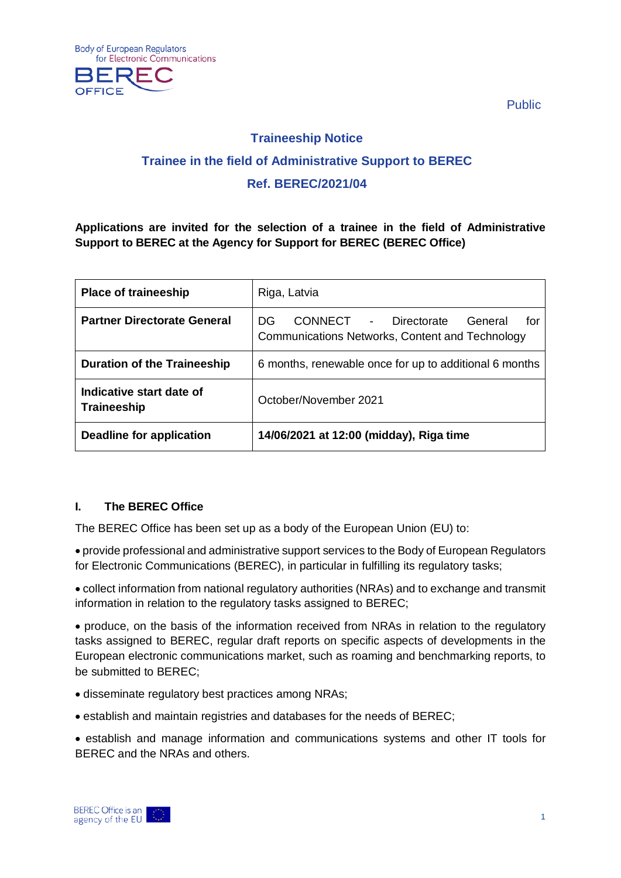

Public

# **Traineeship Notice Trainee in the field of Administrative Support to BEREC Ref. BEREC/2021/04**

**Applications are invited for the selection of a trainee in the field of Administrative Support to BEREC at the Agency for Support for BEREC (BEREC Office)**

| <b>Place of traineeship</b>                    | Riga, Latvia                                                                                     |
|------------------------------------------------|--------------------------------------------------------------------------------------------------|
| <b>Partner Directorate General</b>             | CONNECT - Directorate<br>General<br>DG<br>for<br>Communications Networks, Content and Technology |
| <b>Duration of the Traineeship</b>             | 6 months, renewable once for up to additional 6 months                                           |
| Indicative start date of<br><b>Traineeship</b> | October/November 2021                                                                            |
| Deadline for application                       | 14/06/2021 at 12:00 (midday), Riga time                                                          |

## **I. The BEREC Office**

The BEREC Office has been set up as a body of the European Union (EU) to:

• provide professional and administrative support services to the Body of European Regulators for Electronic Communications (BEREC), in particular in fulfilling its regulatory tasks;

• collect information from national regulatory authorities (NRAs) and to exchange and transmit information in relation to the regulatory tasks assigned to BEREC;

• produce, on the basis of the information received from NRAs in relation to the regulatory tasks assigned to BEREC, regular draft reports on specific aspects of developments in the European electronic communications market, such as roaming and benchmarking reports, to be submitted to BEREC;

- disseminate regulatory best practices among NRAs;
- establish and maintain registries and databases for the needs of BEREC;
- establish and manage information and communications systems and other IT tools for BEREC and the NRAs and others.

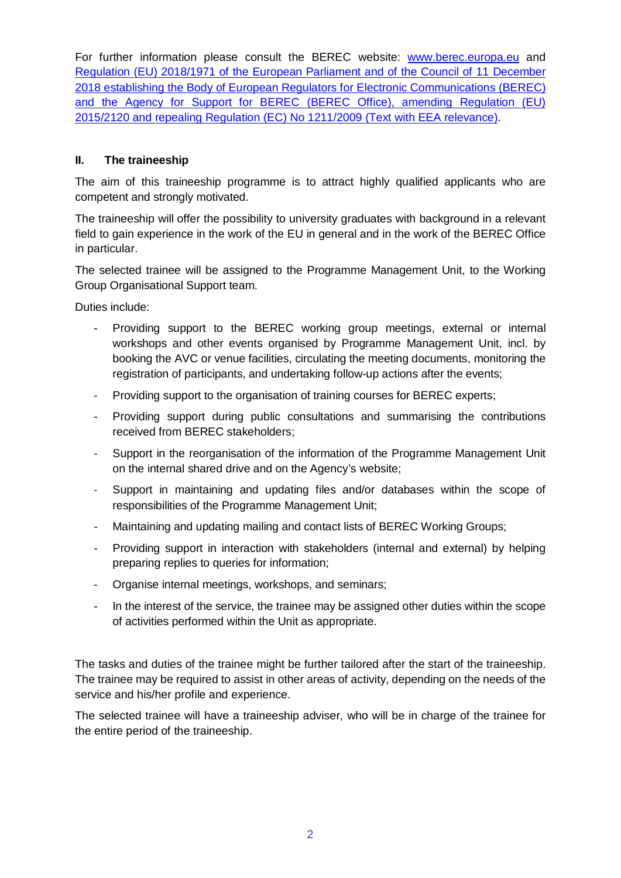For further information please consult the BEREC website: [www.berec.europa.eu](http://www.berec.europa.eu/) and [Regulation \(EU\) 2018/1971 of the European Parliament and of the Council of 11 December](https://eur-lex.europa.eu/legal-content/EN/TXT/?qid=1560490013791&uri=CELEX:32018R1971)  [2018 establishing the Body of European Regulators for Electronic Communications \(BEREC\)](https://eur-lex.europa.eu/legal-content/EN/TXT/?qid=1560490013791&uri=CELEX:32018R1971)  [and the Agency for Support for BEREC \(BEREC Office\), amending Regulation \(EU\)](https://eur-lex.europa.eu/legal-content/EN/TXT/?qid=1560490013791&uri=CELEX:32018R1971)  [2015/2120 and repealing Regulation \(EC\) No 1211/2009](https://eur-lex.europa.eu/legal-content/EN/TXT/?qid=1560490013791&uri=CELEX:32018R1971) (Text with EEA relevance).

## **II. The traineeship**

The aim of this traineeship programme is to attract highly qualified applicants who are competent and strongly motivated.

The traineeship will offer the possibility to university graduates with background in a relevant field to gain experience in the work of the EU in general and in the work of the BEREC Office in particular.

The selected trainee will be assigned to the Programme Management Unit, to the Working Group Organisational Support team.

Duties include:

- Providing support to the BEREC working group meetings, external or internal workshops and other events organised by Programme Management Unit, incl. by booking the AVC or venue facilities, circulating the meeting documents, monitoring the registration of participants, and undertaking follow-up actions after the events;
- Providing support to the organisation of training courses for BEREC experts;
- Providing support during public consultations and summarising the contributions received from BEREC stakeholders;
- Support in the reorganisation of the information of the Programme Management Unit on the internal shared drive and on the Agency's website;
- Support in maintaining and updating files and/or databases within the scope of responsibilities of the Programme Management Unit;
- Maintaining and updating mailing and contact lists of BEREC Working Groups;
- Providing support in interaction with stakeholders (internal and external) by helping preparing replies to queries for information;
- Organise internal meetings, workshops, and seminars;
- In the interest of the service, the trainee may be assigned other duties within the scope of activities performed within the Unit as appropriate.

The tasks and duties of the trainee might be further tailored after the start of the traineeship. The trainee may be required to assist in other areas of activity, depending on the needs of the service and his/her profile and experience.

The selected trainee will have a traineeship adviser, who will be in charge of the trainee for the entire period of the traineeship.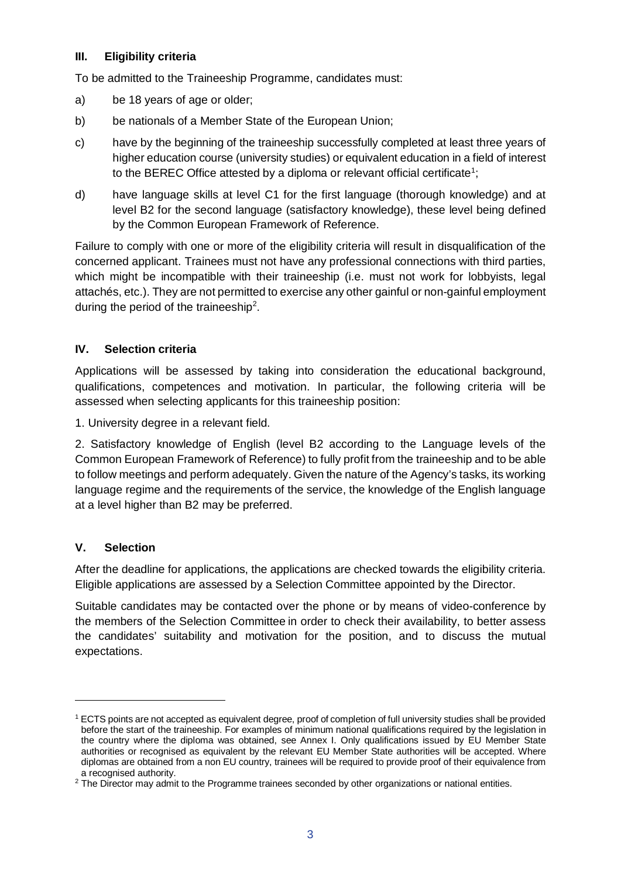#### **III. Eligibility criteria**

To be admitted to the Traineeship Programme, candidates must:

- a) be 18 years of age or older;
- b) be nationals of a Member State of the European Union;
- c) have by the beginning of the traineeship successfully completed at least three years of higher education course (university studies) or equivalent education in a field of interest to the BEREC Office attested by a diploma or relevant official certificate<sup>[1](#page-2-0)</sup>;
- d) have language skills at level C1 for the first language (thorough knowledge) and at level B2 for the second language (satisfactory knowledge), these level being defined by the Common European Framework of Reference.

Failure to comply with one or more of the eligibility criteria will result in disqualification of the concerned applicant. Trainees must not have any professional connections with third parties, which might be incompatible with their traineeship (i.e. must not work for lobbyists, legal attachés, etc.). They are not permitted to exercise any other gainful or non-gainful employment during the period of the traineeship<sup>2</sup>.

## **IV. Selection criteria**

Applications will be assessed by taking into consideration the educational background, qualifications, competences and motivation. In particular, the following criteria will be assessed when selecting applicants for this traineeship position:

1. University degree in a relevant field.

2. Satisfactory knowledge of English (level B2 according to the Language levels of the Common European Framework of Reference) to fully profit from the traineeship and to be able to follow meetings and perform adequately. Given the nature of the Agency's tasks, its working language regime and the requirements of the service, the knowledge of the English language at a level higher than B2 may be preferred.

## **V. Selection**

-

After the deadline for applications, the applications are checked towards the eligibility criteria. Eligible applications are assessed by a Selection Committee appointed by the Director.

Suitable candidates may be contacted over the phone or by means of video-conference by the members of the Selection Committee in order to check their availability, to better assess the candidates' suitability and motivation for the position, and to discuss the mutual expectations.

<span id="page-2-0"></span><sup>1</sup> ECTS points are not accepted as equivalent degree, proof of completion of full university studies shall be provided before the start of the traineeship. For examples of minimum national qualifications required by the legislation in the country where the diploma was obtained, see Annex I. Only qualifications issued by EU Member State authorities or recognised as equivalent by the relevant EU Member State authorities will be accepted. Where diplomas are obtained from a non EU country, trainees will be required to provide proof of their equivalence from a recognised authority.

<span id="page-2-1"></span><sup>&</sup>lt;sup>2</sup> The Director may admit to the Programme trainees seconded by other organizations or national entities.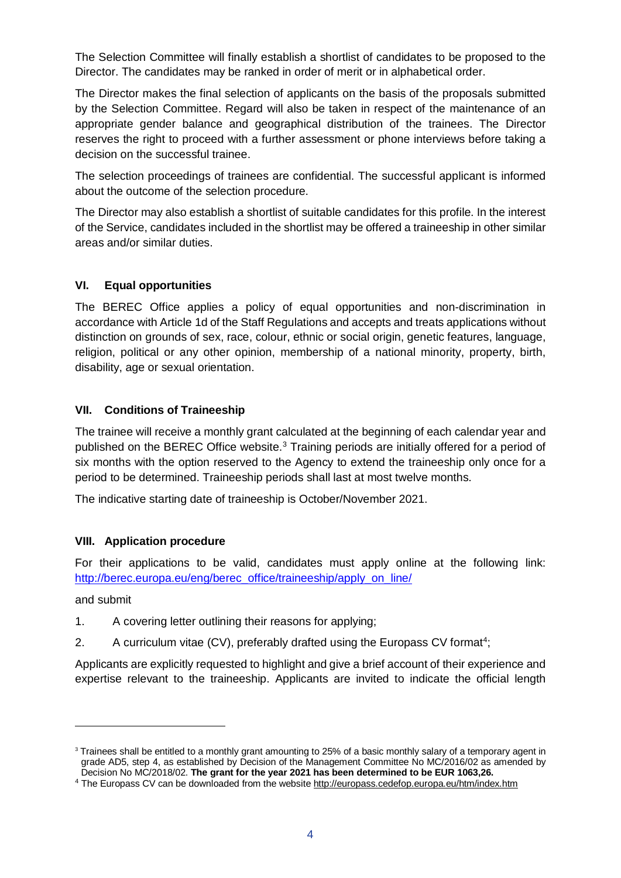The Selection Committee will finally establish a shortlist of candidates to be proposed to the Director. The candidates may be ranked in order of merit or in alphabetical order.

The Director makes the final selection of applicants on the basis of the proposals submitted by the Selection Committee. Regard will also be taken in respect of the maintenance of an appropriate gender balance and geographical distribution of the trainees. The Director reserves the right to proceed with a further assessment or phone interviews before taking a decision on the successful trainee.

The selection proceedings of trainees are confidential. The successful applicant is informed about the outcome of the selection procedure.

The Director may also establish a shortlist of suitable candidates for this profile. In the interest of the Service, candidates included in the shortlist may be offered a traineeship in other similar areas and/or similar duties.

#### **VI. Equal opportunities**

The BEREC Office applies a policy of equal opportunities and non-discrimination in accordance with Article 1d of the Staff Regulations and accepts and treats applications without distinction on grounds of sex, race, colour, ethnic or social origin, genetic features, language, religion, political or any other opinion, membership of a national minority, property, birth, disability, age or sexual orientation.

#### **VII. Conditions of Traineeship**

The trainee will receive a monthly grant calculated at the beginning of each calendar year and published on the BEREC Office website.<sup>[3](#page-3-0)</sup> Training periods are initially offered for a period of six months with the option reserved to the Agency to extend the traineeship only once for a period to be determined. Traineeship periods shall last at most twelve months.

The indicative starting date of traineeship is October/November 2021.

#### **VIII. Application procedure**

For their applications to be valid, candidates must apply online at the following link: [http://berec.europa.eu/eng/berec\\_office/traineeship/apply\\_on\\_line/](http://berec.europa.eu/eng/berec_office/traineeship/apply_on_line/)

and submit

-

- 1. A covering letter outlining their reasons for applying;
- 2. A curriculum vitae (CV), preferably drafted using the Europass CV format<sup>4</sup>;

Applicants are explicitly requested to highlight and give a brief account of their experience and expertise relevant to the traineeship. Applicants are invited to indicate the official length

<span id="page-3-0"></span><sup>&</sup>lt;sup>3</sup> Trainees shall be entitled to a monthly grant amounting to 25% of a basic monthly salary of a temporary agent in grade AD5, step 4, as established by Decision of the Management Committee No MC/2016/02 as amended by Decision No MC/2018/02. **The grant for the year 2021 has been determined to be EUR 1063,26.** 

<span id="page-3-1"></span><sup>4</sup> The Europass CV can be downloaded from the websit[e http://europass.cedefop.europa.eu/htm/index.htm](http://europass.cedefop.europa.eu/htm/index.htm)